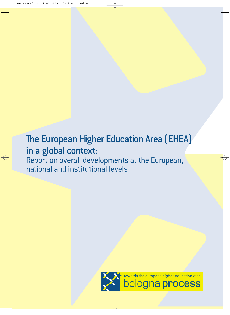# The European Higher Education Area (EHEA) in a global context:

Report on overall developments at the European, national and institutional levels

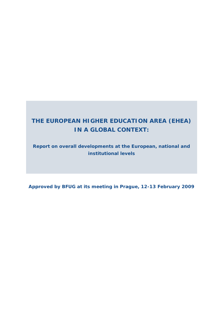# **THE EUROPEAN HIGHER EDUCATION AREA (EHEA) IN A GLOBAL CONTEXT:**

**Report on overall developments at the European, national and institutional levels** 

**Approved by BFUG at its meeting in Prague, 12-13 February 2009**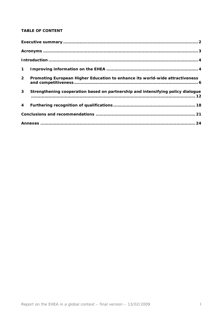# **TABLE OF CONTENT**

| $\mathbf 1$    |                                                                                 |  |
|----------------|---------------------------------------------------------------------------------|--|
| $2^{\circ}$    | Promoting European Higher Education to enhance its world-wide attractiveness    |  |
| $\mathbf{3}$   | Strengthening cooperation based on partnership and intensifying policy dialogue |  |
| $\overline{4}$ |                                                                                 |  |
|                |                                                                                 |  |
|                |                                                                                 |  |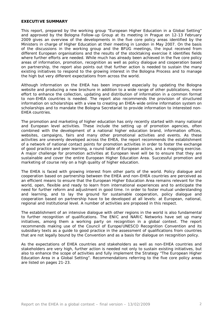#### **EXECUTIVE SUMMARY**

This report, prepared by the working group "European Higher Education in a Global Setting" and approved by the Bologna Follow-up Group at its meeting in Prague on 12-13 February 2009 gives an overview of the developments in the five core policy areas identified by the Ministers in charge of Higher Education at their meeting in London in May 2007. On the basis of the discussions in the working group and the BFUG meetings, the input received from different European organisations and the results of the stocktaking exercise it identifies fields where further efforts are needed. While much has already been achieved in the five core policy areas of information, promotion, recognition as well as policy dialogue and cooperation based on partnership, the report also points out that further action is needed to sustain the many existing initiatives to respond to the growing interest in the Bologna Process and to manage the high but very different expectations from across the world.

Although *information on the EHEA* has been improved especially by updating the Bologna website and producing a new brochure in addition to a wide range of other publications, more effort to enhance the collection, updating and distribution of information in a common format to non-EHEA countries is needed. The report also recommends the provision of structured information on scholarships with a view to creating an EHEA-wide online information system on scholarships and to mandate the Bologna Secretariat to provide information to interested non-EHEA countries.

The *promotion* and marketing of higher education has only recently started with many national and European level activities. These include the setting up of promotion agencies, often combined with the development of a national higher education brand, information offices, websites, campaigns, fairs and many other promotional activities and events. As these activities are unevenly developed across the EHEA, the report recommends the establishment of a network of national contact points for promotion activities in order to foster the exchange of good practice and peer learning, a round table of European actors, and a mapping exercise. A major challenge for promotion activities at European level will be to ensure that they are sustainable and cover the entire European Higher Education Area. Successful promotion and marketing of course rely on a high quality of higher education.

The EHEA is faced with growing interest from other parts of the world. *Policy dialogue* and *cooperation based on partnership* between the EHEA and non-EHEA countries are perceived as an efficient means to ensure that the European Higher Education Area remains relevant for the world, open, flexible and ready to learn from international experiences and to anticipate the need for further reform and adjustment in good time. In order to foster mutual understanding and learning, and to lay the ground for sustainable cooperation, policy dialogue and cooperation based on partnership have to be developed at all levels: at European, national, regional and institutional level. A number of activities are proposed in this respect.

The establishment of an intensive dialogue with other regions in the world is also fundamental to further *recognition of qualifications.* The ENIC and NARIC Networks have set up many initiatives, among them a working party on recognition in a global context. The report recommends making use of the Council of Europe/UNESCO Recognition Convention and its subsidiary texts as a guide to good practice in the assessment of qualifications from countries that are not legally bound by the Convention and as a basis for dialogue on recognition policy.

As the expectations of EHEA countries and stakeholders as well as non-EHEA countries and stakeholders are very high, further action is needed not only to sustain existing initiatives, but also to enhance the scope of activities and fully implement the Strategy "The European Higher Education Area in a Global Setting". Recommendations referring to the five core policy areas are listed on pages 21-23.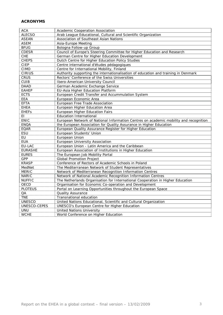# **ACRONYMS**

| <b>ACA</b>     | Academic Cooperation Association                                                      |
|----------------|---------------------------------------------------------------------------------------|
| <b>ALECSO</b>  | Arab League Educational, Cultural and Scientific Organization                         |
| <b>ASEAN</b>   | Association of Southeast Asian Nations                                                |
| <b>ASEM</b>    | Asia-Europe Meeting                                                                   |
| <b>BFUG</b>    | Bologna Follow-up Group                                                               |
| <b>CDESR</b>   | Council of Europe's Steering Committee for Higher Education and Research              |
| <b>CHE</b>     | German Centre for Higher Education Development                                        |
| <b>CHEPS</b>   | Dutch Centre for Higher Education Policy Studies                                      |
| <b>CIEP</b>    | Centre international d'études pédagogiques                                            |
| <b>CIMO</b>    | Centre for International Mobility, Finland                                            |
| <b>CIRIUS</b>  | Authority supporting the internationalisation of education and training in Denmark    |
| CRUS           | Rectors' Conference of the Swiss Universities                                         |
| <b>CUIB</b>    | Ibero-American University Council                                                     |
| <b>DAAD</b>    | German Academic Exchange Service                                                      |
| <b>EAHEP</b>   | EU-Asia Higher Education Platform                                                     |
| <b>ECTS</b>    | European Credit Transfer and Accummulation System                                     |
| EEA            | European Economic Area                                                                |
| <b>EFTA</b>    | European Free Trade Association                                                       |
| <b>EHEA</b>    | European Higher Education Area                                                        |
| <b>EHEFS</b>   | European Higher Education Fairs                                                       |
| ΕI             | <b>Education International</b>                                                        |
| <b>ENIC</b>    | European Network of National Information Centres on academic mobility and recognition |
| <b>ENQA</b>    | the European Association for Quality Assurance in Higher Education                    |
| <b>EQAR</b>    | European Quality Assurance Register for Higher Education                              |
| ESU            | European Students' Union                                                              |
| <b>EU</b>      | European Union                                                                        |
| <b>EUA</b>     | European University Association                                                       |
| EU-LAC         | European Union - Latin America and the Caribbean                                      |
| <b>EURASHE</b> | European Association of Institutions in Higher Education                              |
| <b>EURES</b>   | The European Job Mobility Portal                                                      |
| GPP            | <b>Global Promotion Project</b>                                                       |
| <b>KRASP</b>   | Conference of Rectors of Academic Schools in Poland                                   |
| MedNet         | The Mediterranean Network of Student Representatives                                  |
| <b>MERIC</b>   | Network of Mediterranean Recognition Information Centres                              |
| <b>NARIC</b>   | Network of National Academic Recognition Information Centres                          |
| <b>NUFFIC</b>  | The Netherlands Organisation for International Cooperation in Higher Education        |
| <b>OECD</b>    | Organisation for Economic Co-operation and Development                                |
| <b>PLOTEUS</b> | Portal on Learning Opportunities throughout the European Space                        |
| QA             | Quality Assurance                                                                     |
| <b>TNE</b>     | Transnational education                                                               |
| <b>UNESCO</b>  | United Nations Educational, Scientific and Cultural Organization                      |
| UNESCO-CEPES   | <b>UNESCO's European Centre for Higher Education</b>                                  |
| <b>UNU</b>     | <b>United Nations University</b>                                                      |
| <b>WCHE</b>    | World Conference on Higher Education                                                  |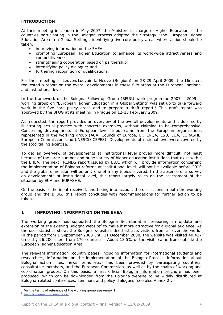#### **INTRODUCTION**

At their meeting in London in May 2007, the Ministers in charge of Higher Education in the countries participating in the Bologna Process adopted the Strategy "The European Higher Education Area in a Global Setting", identifiying five core policy areas where action should be taken:

- improving information on the EHEA;
- promoting European Higher Education to enhance its world-wide attractiveness and competitiveness;
- strengthening cooperation based on partnership;
- intensifying policy dialogue; and
- furthering recognition of qualifications.

For their meeting in Leuven/Louvain-la-Neuve (Belgium) on 28-29 April 2009, the Ministers requested a report on the overall developments in these five areas at the European, national and institutional levels.

In the framework of the Bologna Follow-up Group (BFUG) work programme 2007 – 2009, a working group on "European Higher Education in a Global Setting" was set up to take forward work in the five core policy areas and to prepare a draft report.<sup>1</sup> This draft report was approved by the BFUG at its meeting in Prague on 12-13 February 2009.

As requested, the report provides an overview of the overall developments and it does so by illustrating actual practice with concrete examples, without claiming to be comprehensive. Concerning developments at European level, input came from the European organisations represented in the working group (ACA, Council of Europe, EI, ENQA, ESU, EUA, EURASHE, European Commission, and UNESCO-CEPES). Developments at national level were covered by the stocktaking exercise.

To get an overview of developments at institutional level proved more difficult, not least because of the large number and huge variety of higher education institutions that exist within the EHEA. The next TRENDS report issued by EUA, which will provide information concerning the implementation of Bologna reforms at institutional level, will not be available before 2010 and the global dimension will be only one of many topics covered. In the absence of a survey on developments at institutional level, this report largely relies on the assessment of the situation by EUA and EURASHE.

On the basis of the input received, and taking into account the discussions in both the working group and the BFUG, this report concludes with recommendations for further action to be taken.

#### **1 IMPROVING INFORMATION ON THE EHEA**

The working group has supported the Bologna Secretariat in preparing an update and extension of the existing **Bologna website**<sup>2</sup> to make it more attractive for a global audience. As the user statistics show, the Bologna website indeed attracts visitors from all over the world. In the period from 1 September 2008 until 31 December 2008, the website was visited 40,437 times by 26,200 users from 170 countries. About 18.5% of the visits came from outside the European Higher Education Area.

The relevant information (country pages, including information for international students and researchers, information on the implementation of the Bologna Process, information about Bologna action lines, news items etc.) has been provided by participating countries, consultative members, and the European Commission, as well as by the chairs of working and coordination groups. On this basis, a first official Bologna information brochure has been produced, which can be downloaded from the Bologna website to be widely distributed at Bologna-related conferences, seminars and policy dialogues (see also Annex 2).

<sup>&</sup>lt;sup>1</sup> For the terms of reference of the working group see Annex 1

<sup>2</sup> www.bologna2009benelux.org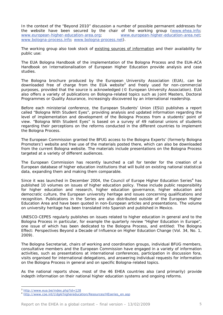In the context of the "Beyond 2010" discussion a number of possible permanent addresses for the website have been secured by the chair of the working group (www.ehea.info; www.european-higher-education-area.org; www.european-higher-education-area.net; www.bologna-process.info; www.bologna-process.net).

The working group also took stock of existing sources of information and their availability for public use:

The EUA Bologna Handbook of the implementation of the Bologna Process and the EUA-ACA Handbook on Internationalisation of European Higher Education provide analysis and case studies.

The Bologna brochure produced by the European University Association (EUA), can be downloaded free of charge from the EUA website<sup>3</sup> and freely used for non-commercial purposes, provided that the source is acknowledged (© European University Association). EUA also offers a variety of publications on Bologna-related topics such as Joint Masters, Doctoral Programmes or Quality Assurance, increasingly discovered by an international readership.

Before each ministerial conference, the European Students' Union (ESU) publishes a report called "Bologna With Student Eyes", providing analysis and updated information regarding the level of implementation and development of the Bologna Process from a students' point of view. "Bologna With Student Eyes" is based on a survey of 49 national unions of students regarding their perceptions on the reforms conducted in the different countries to implement the Bologna Process.

The European Commission granted the BFUG access to the Bologna Experts' (formerly Bologna Promoters') website and free use of the materials posted there, which can also be downloaded from the current Bologna website. The materials include presentations on the Bologna Process targeted at a variety of different audiences.

The European Commission has recently launched a call for tender for the creation of a European database of higher education institutions that will build on existing national statistical data, expanding them and making them comparable.

Since it was launched in December 2004, the Council of Europe Higher Education Series<sup>4</sup> has published 10 volumes on issues of higher education policy. These include public responsibility for higher education and research, higher education governance, higher education and democratic culture, the European university heritage and issues concerning qualifications and recognition. Publications in the Series are also distributed outside of the European Higher Education Area and have been quoted in non-European articles and presentations. The volume on university heritage has been translated into Spanish and published in Mexico.

UNESCO-CEPES regularly publishes on issues related to higher education in general and to the Bologna Process in particular, for example the quarterly review "Higher Education in Europe", one issue of which has been dedicated to the Bologna Process, and entitled: *The Bologna Effect: Perspectives Beyond a Decade of Influence on Higher Education Change* (Vol. 34, No. 1, 2009).

The Bologna Secretariat, chairs of working and coordination groups, individual BFUG members, consultative members and the European Commission have engaged in a variety of information activities, such as presentations at international conferences, participation in discussion fora, visits organised for international delegations, and answering individual requests for information on the Bologna Process in general and on specific Bologna-related topics.

As the national reports show, most of the 46 EHEA countries also (and primarily) provide indepth information on their national higher education systems and ongoing reforms.

<sup>&</sup>lt;sup>3</sup> http://www.eua.be/index.php?id=128<br><sup>4</sup> http://www.coe.int/t/dg4/highereducation/Resources/HEseries\_en.asp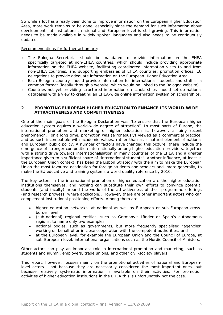So while a lot has already been done to improve information on the European Higher Education Area, more work remains to be done, especially since the demand for such information about developments at institutional, national and European level is still growing. This information needs to be made available in widely spoken languages and also needs to be continuously updated.

#### Recommendations for further action are:

- ¾ The Bologna Secretariat should be mandated to provide information on the EHEA specifically targeted at non-EHEA countries, which should include providing appropriate information on the EHEA website, facilitating coordinated information visits to and from non-EHEA countries, and supporting embassies of EHEA countries, promotion offices, EU delegations to provide adequate information on the European Higher Education Area.
- $\geq$  Each Bologna country should provide information for international students and staff in a common format (ideally through a website, which would be linked to the Bologna website).
- $\triangleright$  Countries not yet providing structured information on scholarships should set up national databases with a view to creating an EHEA-wide online information system on scholarships.

### **2 PROMOTING EUROPEAN HIGHER EDUCATION TO ENHANCE ITS WORLD-WIDE ATTRACTIVENESS AND COMPETITIVENESS**

One of the main goals of the Bologna Declaration was "to ensure that the European higher education system aquires a world-wide degree of attraction". In most parts of Europe, the international promotion and marketing of higher education is, however, a fairly recent phenomenon. For a long time, promotion was (erroneously) viewed as a commercial practice, and as such incompatible with academic values, rather than as a natural element of national and European public policy. A number of factors have changed this picture: these include the emergence of stronger competition internationally among higher education providers, together with a strong drive towards internationalisation in many countries of the EHEA and a greater importance given to a sufficient share of "international students". Another influence, at least in the European Union context, has been the Lisbon Strategy with the aim to make the European Union the most favoured destination for foreign students and scholars and, more generally, to make the EU educative and training systems a world quality reference by 2010.

The key actors in the international promotion of higher education are the higher education institutions themselves, and nothing can substitute their own efforts to convince potential students (and faculty) around the world of the attractiveness of their programme offerings (and research prowess, where applicable). However, there are other important actors who can complement institutional positioning efforts. Among them are:

- higher education networks, at national as well as European or sub-European crossborder level;
- (sub-national) regional entities, such as Germany's *Länder* or Spain's autonomous regions, to name only two examples;
- national bodies, such as governments, but more frequently specialised "agencies" working on behalf of or in close cooperation with the competent authorities; and
- at the European level, for example the European Union and the Council of Europe, at sub-European level, international organisations such as the Nordic Council of Ministers.

Other actors can play an important role in international promotion and marketing, such as students and alumni, employers, trade unions, and other civil-society players.

This report, however, focuses mainly on the promotional activities of national and Europeanlevel actors - not because they are necessarily considered the most important ones, but because relatively systematic information is available on their activities. For promotion activities of higher education institutions in the EHEA this is unfortunately not the case.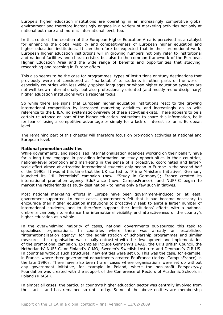Europe's higher education institutions are operating in an increasingly competitive global environment and therefore increasingly engage in a variety of marketing activities not only at national but more and more at international level, too.

In this context, the creation of the European Higher Education Area is perceived as a catalyst for enhancing the global visibility and competitiveness of European higher education and higher education institutions. It can therefore be expected that in their promotional work, European higher education institutions will in growing numbers not only refer to institutional and national facilities and characteristics but also to the common framework of the European Higher Education Area and the wide range of benefits and opportunities that studying, researching and teaching in Europe offers.

This also seems to be the case for programmes, types of institutions or study destinations that previously were not considered as "marketable" to students in other parts of the world especially countries with less widely spoken languages or whose higher education systems are not well known internationally, but also professionally oriented (and mostly mono-disciplinary) higher education institutions with a regional focus.

So while there are signs that European higher education institutions react to the growing international competition by increased marketing activities, and increasingly do so with reference to the EHEA, no systematic overview of these activities exists. There appears to be a certain reluctance on part of the higher education institutions to share this information, be it for fear of losing a competitive advantage or simply for a lack of interest so far at European level.

The remaining part of this chapter will therefore focus on promotion activities at national and European level.

#### **National promotion activities**

While governments, and specialised internationalisation agencies working on their behalf, have for a long time engaged in providing information on study opportunities in their countries, national-level promotion and marketing in the sense of a proactive, coordinated and largerscale effort aimed at attracting international students only began in Europe in the second half of the 1990s. It was at this time that the UK started its "Prime Minister's Initiative"; Germany launched its "Hi! Potentials" campaign (now: "Study in Germany"); France created its international promotion agency EduFrance (now: CampusFrance); and NUFFIC began to market the Netherlands as study destination - to name only a few such initiatives.

Most national marketing efforts in Europe have been government-induced or, at least, government-supported. In most cases, governments felt that it had become necessary to encourage their higher education institutions to proactively seek to enrol a larger number of international students, and to therefore support their institutions' efforts with a national umbrella campaign to enhance the international visibility and attractiveness of the country's higher education as a whole.

In the overwhelming majority of cases, national governments out-sourced this task to specialised organisations. In countries where there was already an established "internationalisation agency" for the administration of scholarship programmes and similar measures, this organisation was usually entrusted with the development and implementation of the promotional campaign. Examples include Germany's DAAD, the UK's British Council, the Netherlands' NUFFIC, or Finland's CIMO, Sweden's Swedish Institute and Denmark's CIRIUS. In countries without such structures, new entities were set up. This was the case, for example, in France, where three government departments created EduFrance (today: CampusFrance) in the late 1990s. There have also been (rare) cases where organisations were set up without any government initiative, for example in Poland, where the non-profit Perspektywy Foundation was created with the support of the Conference of Rectors of Academic Schools in Poland (KRASP).

In almost all cases, the particular country's higher education sector was centrally involved from the start – and has remained so until today. Some of the above entities are membership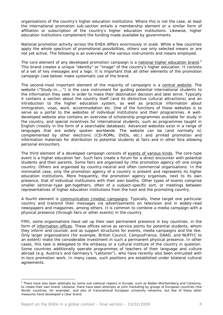organisations of the country's higher education institutions. Where this is not the case, at least the international promotion sub-section entails a membership element or a similar form of affiliation or subscription of the country's higher education institutions. Likewise, higher education institutions complement the funding made available by governments.

National promotion activity across the EHEA differs enormously in scale. While a few countries apply the whole spectrum of promotional possibilities, others use only selected means or are not yet active. The following is an overview of the various instruments and means employed.

The core element of any developed promotion campaign is a national higher education brand.<sup>5</sup> This brand creates a unique "identity" or "image" of the country's higher education. It consists of a set of key messages and a logo. It is important that all other elements of the promotion campaign (see below) make systematic use of the brand.

The second-most important element of the majority of campaigns is a central website. The website ("Study-in…..") is the core instrument for guiding potential international students to the information they seek in order to make their destination decision and later enrol. Typically it contains a section about the country itself (and its distinctive cultural attractions) and an introduction to the higher education system, as well as practical information about immigration, visas, work, accommodation etc. One of the functions of these websites is to serve as a portal to the websites of individual institutions and their programmes. A welldeveloped website also contains an overview of scholarship programmes available for study in the country, and special incentives for international students, such as programmes taught in English (mostly in the form of a searchable database). Advanced websites exist in a range of languages that are widely spoken worldwide. The website can be (and normally is) complemented by other electronic (CD-ROMs, DVDs, etc.) and printed promotion and information materials for distribution to potential students at fairs and in other fora allowing personal encounters.

The third element of a developed campaign consists of events of various kinds. The core-type event is a higher education fair. Such fairs create a forum for a direct encounter with potential students and their parents. Some fairs are organised by (the promotion agency of) one single country. Others are organised by country-neutral and often commercial organisations. In the minimalist case, only the promotion agency of a country is present and represents its higher education institutions. More frequently, the promotion agency organises, next to its own presence, that of individual institutions with their own booths. Other types of events comprise smaller seminar-type get-togethers, often of a subject-specific sort, or meetings between representatives of higher education institutions from the host and the promoting country.

A fourth element is communication (media) campaigns. Typically, these target one particular country and transmit their messages via advertisements on television and in widely-read newspapers and magazines, among others. It is common to combine a media campaign with a physical presence (through fairs or other events) in the country.

Fifth, some organisations have set up their own permanent presence in key countries, in the form of information offices. These offices serve as service points for potential students, whom they inform and counsel, and as support structures for events, media campaigns and the like. Only larger organisations (for example, British Council, CampusFrance, DAAD, and NUFFIC to an extent) make the considerable investment in such a permanent physical presence. In other cases, this task is delegated to the embassy or a cultural institute of the country in question. Some countries additionally operate programmes of teachers of their language and culture abroad (e.g. Austria's and Germany's "Lektoren"), who have recently also been entrusted with in-loco promotion work. In many cases, such positions are established under bilateral cultural agreements.

<sup>&</sup>lt;sup>5</sup> There have also been attempts by some sub-national regions in Europe, such as Baden-Württemberg and Catalonia, to create their own brand. Likewise, there have been attempts at joint marketing by groups of European countries (the Nordic countries, for example), and also of transnational European university networks, but few of these latter measures have developed a clear brand.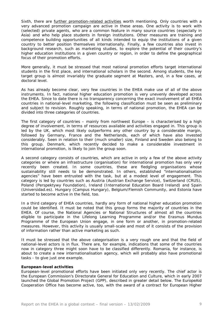Sixth, there are further promotion-related activities worth mentioning. Only countries with a very advanced promotion campaign are active in these areas. One activity is to work with (selected) private agents, who are a common feature in many source countries (especially in Asia) and who help place students in foreign institutions. Other measures are training and competence building opportunities of all kinds intended to equip the institutions of a given country to better position themselves internationally. Finally, a few countries also invest in background research, such as marketing studies, to explore the potential of their country's higher education institutions in a given country or region, in order to define the geographical focus of their promotion efforts.

More generally, it must be stressed that most national promotion efforts target international students in the first place, and international scholars in the second. Among students, the key target group is almost invariably the graduate segment at Masters, and, in a few cases, at doctoral level.

As has already become clear, very few countries in the EHEA make use of all of the above instruments. In fact, national higher education promotion is very unevenly developed across the EHEA. Since to date there is no transparency concerning the exact involvement of all EHEA countries in national-level marketing, the following classification must be seen as preliminary and subject to revision. Roughly speaking, in terms of national promotion, the EHEA can be divided into three categories of countries.

The first category of countries – mainly from northwest Europe – is characterised by a high degree of involvement, in terms of resources available and activities engaged in. This group is led by the UK, which most likely outperforms any other country by a considerable margin, followed by Germany, France and the Netherlands, each of which have also invested considerably. Seen in relation to their (much smaller) size, Finland and Sweden also belong to this group. Denmark, which recently decided to make a considerable investment in international promotion, is likely to join the group soon.

A second category consists of countries, which are active in only a few of the above activity categories or where an infrastructure (organisation) for international promotion has only very recently been created. In some countries, these are fledgling organisations whose sustainability still needs to be demonstrated. In others, established "internationalisation agencies" have been entrusted with the task, but at a modest level of engagement. This category is led by countries such as Austria (Austrian Exchange Service), Switzerland (CRUS), Poland (Perspektywy Foundation), Ireland (International Education Board Ireland) and Spain (Universidad.es). Hungary (Campus Hungary), Belgium/Flemish Community, and Estonia have started to become active in the field, too.

In a third category of EHEA countries, hardly any form of national higher education promotion could be identified. It must be noted that this group forms the majority of countries in the EHEA. Of course, the National Agencies or National Structures of almost all the countries eligible to participate in the Lifelong Learning Programme and/or the Erasmus Mundus Programme of the European Union engage, in one form or another, in promotion-related measures. However, this activity is usually small-scale and most of it consists of the provision of information rather than active marketing as such.

It must be stressed that the above categorisation is a very rough one and that the field of national-level actors is in flux. There are, for example, indications that some of the countries now in category three might soon have to be classified differently. Romania, for instance, is about to create a new internationalisation agency, which will probably also have promotional tasks - to give just one example.

#### **European-level activities**

European-level promotional efforts have been initiated only very recently. The chief actor is the European Commission's Directorate General for Education and Culture, which in early 2007 launched the Global Promotion Project (GPP), described in greater detail below. The EuropeAid Cooperation Office has become active, too, with the award of a contract for European Higher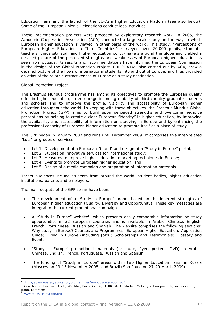Education Fairs and the launch of the EU-Asia Higher Education Platform (see also below). Some of the European Union's Delegations conduct local activities.

These implementation projects were preceded by exploratory research work. In 2005, the Academic Cooperation Association (ACA) conducted a large-scale study on the way in which European higher education is viewed in other parts of the world. This study, "Perceptions of European Higher Education in Third Countries<sup>"6</sup> surveyed over 20,000 pupils, students, teachers, university staff and higher education policy-makers around the globe and yielded a detailed picture of the perceived strengths and weaknesses of European higher education as seen from outside. Its results and recommendations have informed the European Commission in the design of the Global Promotion Project. EURODATA<sup>7</sup>, also carried out by ACA, drew a detailed picture of the flows of international students into and out of Europe, and thus provided an atlas of the relative attractiveness of Europe as a study destination.

#### Global Promotion Project

The Erasmus Mundus programme has among its objectives to promote the European quality offer in higher education, to encourage incoming mobility of third-country graduate students and scholars and to improve the profile, visibility and accessibility of European higher education throughout the world. In keeping with these objectives, the Erasmus Mundus Global Promotion Project (GPP) aims to build upon perceived strengths and overcome negative perceptions by helping to create a clear European "identity" in higher education, by improving the availability and accessibility of information on studying in Europe and by enhancing the professional capacity of European higher education to promote itself as a place of study.

The GPP began in January 2007 and runs until December 2009. It comprises five inter-related "Lots" or groups of services:

- Lot 1: Development of a European "brand" and design of a "Study in Europe" portal;
- Lot 2: Studies on innovative services for international study;
- Lot 3: Measures to improve higher education marketing techniques in Europe;
- Lot 4: Events to promote European higher education; and
- Lot 5: Design of a media campaign and preparation of information materials.

Target audiences include students from around the world, student bodies, higher education institutions, parents and employers.

The main outputs of the GPP so far have been:

- The development of a "Study in Europe" brand, based on the inherent strengths of European higher education (Quality, Diversity and Opportunity). These key messages are integral to the current promotional campaign.
- A "Study in Europe" website<sup>8</sup>, which presents easily comparable information on study opportunities in 32 European countries and is available in Arabic, Chinese, English, French, Portuguese, Russian and Spanish. The website comprises the following sections: Why study in Europe? Courses and Programmes; European Higher Education; Application Guide; Living in Europe (including Jobs); Scholarships and Testimonials; Glossary and Events.
- "Study in Europe" promotional materials (brochure, flyer, posters, DVD) in Arabic, Chinese, English, French, Portuguese, Russian and Spanish.
- The funding of "Study in Europe" areas within two Higher Education Fairs, in Russia (Moscow on 13-15 November 2008) and Brazil (Sao Paulo on 27-29 March 2009).

 $\overline{a}$ <sup>6</sup> http://ec.europa.eu/education/programmes/mundus/acareport.pdf<br><sup>7</sup> Kelo, Marie: Teichler, Ulrich: Wöchter, Bernd (2004): EURODATA, S

Kelo, Maria; Teichler, Ulrich; Wächter, Bernd (2006): EURODATA. Student Mobility in European Higher Education, Bonn. Lemmens.

www.study-in-europe.org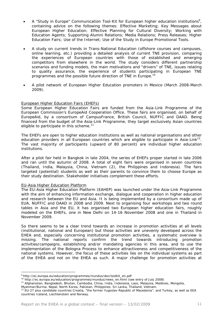- A "Study in Europe" Communication Tool-Kit for European higher education institutions<sup>9</sup>, containing advice on the following themes: Effective Marketing; Key Messages about European Higher Education; Effective Planning for Cultural Diversity; Working with Education Agents; Supporting Alumni Relations; Media Relations; Press Releases; Higher Education Fairs; Use of the Internet; Use of the Study in Europe Promotional Tools.
- A study on current trends in Trans-National Education (offshore courses and campuses, online learning, etc.) providing a detailed analysis of current TNE provision, comparing the experiences of European countries with those of established and emerging competitors from elsewhere in the world. The study considers different partnership scenarios and funding models, the main motivations and "drivers" of TNE, issues relating to quality assurance, the experience of students participating in European TNE programmes and the possible future direction of TNE in Europe.10
- A pilot network of European Higher Education promoters in Mexico (March 2008-March 2009).

#### European Higher Education Fairs (EHEFs)

Some European Higher Education Fairs are funded from the Asia-Link Programme of the European Commission's EuropeAid Cooperation Office. These fairs are organised, on behalf of EuropeAid, by a consortium of CampusFrance, British Council, NUFFIC and DAAD. Being financed from the budget of the Asia-Link Programme, they target exclusively Asian countries eligible to participate in this scheme. $11$ 

The EHEFs are open to higher education institutions as well as national organisations and other education providers in all European countries which are eligible to participate in Asia-Link<sup>12</sup>. The vast majority of participants (upward of 80 percent) are individual higher education institutions.

After a pilot fair held in Bangkok in late 2004, the series of EHEFs proper started in late 2006 and ran until the autumn of 2008. A total of eight fairs were organised in seven countries (Thailand, India, Malaysia, China, Vietnam (2), the Philippines and Indonesia). The fairs targeted (potential) students as well as their parents to convince them to choose Europe as their study destination. Stakeholder initiatives complement these efforts.

#### EU-Asia Higher Education Platform

 $\overline{a}$ 

The EU-Asia Higher Education Platform (EAHEP) was launched under the Asia-Link Programme with the aim of enhancing information exchange, dialogue and cooperation in higher education and research between the EU and Asia. It is being implemented by a consortium made up of EUA, NUFFIC and DAAD in 2008 and 2009. Next to organising four workshops and two round tables in Asia and the EU, it has organised two European higher education fairs, roughly modeled on the EHEFs, one in New Delhi on 14-16 November 2008 and one in Thailand in November 2009.

So there seems to be a clear trend towards an increase in promotion activities at all levels (institutional, national and European) but those activities are unevenly developed across the EHEA and, especially concerning institutional promotion activities, a systematic overview is missing. The national reports confirm the trend towards introducing promotion activities/campaigns, establishing and/or mandating agencies in this area, and to use the implementation of the Bologna Process to enhance attractiveness and competitiveness of the national systems. However, the focus of these activities lies on the individual systems as part of the EHEA and not on the EHEA as such. A major challenge for promotion activities at

<sup>9</sup> http://ec.europa.eu/education/programmes/mundus/doc/toolkit\_en.pdf

<sup>&</sup>lt;sup>10</sup> http://ec.europa.eu/education/programmes/mundus/news\_en.html (see entry of July 2008)<br><sup>11</sup> Afghanistan, Bangladesh, Bhutan, Cambodia, China, India, Indonesia, Laos, Malaysia, Maldives, Mongolia,

Myanmar/Burma, Nepal, North Korea, Pakistan, Philippines, Sri Lanka, Thailand, Vietnam.

 $12$  EU-27 plus candidate countries Croatia, "the former Yugoslav Republic of Macedonia", and Turkey, as well as EEA countries Iceland, Liechtenstein and Norway.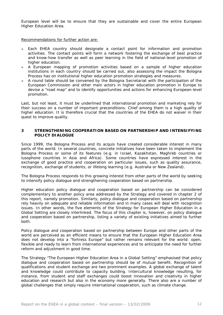European level will be to ensure that they are sustainable and cover the entire European Higher Education Area.

Recommendations for further action are:

- ¾ Each EHEA country should designate a contact point for information and promotion activities. The contact points will form a network fostering the exchange of best practice and know-how transfer as well as peer learning in the field of national-level promotion of higher education.
- $\triangleright$  A European mapping of promotion activities based on a sample of higher education institutions in each country should be carried out, also assessing the impact the Bologna Process has on institutional higher education promotion strategies and measures.
- $\rightarrow$  A round table should be convened by the Bologna Secretariat with the participation of the European Commission and other main actors in higher education promotion in Europe to devise a "road map" and to identify opportunities and actions for enhancing European-level promotion.

Last, but not least, it must be underlined that international promotion and marketing rely for their success on a number of important preconditions. Chief among them is a high quality of higher education. It is therefore crucial that the countries of the EHEA do not waiver in their quest to improve quality.

#### **3 STRENGTHENING COOPERATION BASED ON PARTNERSHIP AND INTENSIFYING POLICY DIALOGUE**

Since 1999, the Bologna Process and its *acquis* have created considerable interest in many parts of the world. In several countries, concrete initiatives have been taken to implement the Bologna Process or some of its features (e.g. in Israel, Kazakhstan, Maghreb countries or lusophone countries in Asia and Africa). Some countries have expressed interest in the exchange of good practice and cooperation on particular issues, such as quality assurance, recognition, exchange of students, or lifelong learning (e.g. Australia or New Zealand).

The Bologna Process responds to this growing interest from other parts of the world by seeking to intensify policy dialogue and strengthening cooperation based on partnership.

Higher education policy dialogue and cooperation based on partnership can be considered complementary to another policy area addressed by the Strategy and covered in chapter 2 of this report, namely promotion. Similarly, policy dialogue and cooperation based on partnership rely heavily on adequate and reliable information and in many cases will deal with recognition issues. In other words, the five elements of the Strategy for European Higher Education in a Global Setting are closely interlinked. The focus of this chapter is, however, on policy dialogue and cooperation based on partnership, listing a variety of existing initiatives aimed to further both.

Policy dialogue and cooperation based on partnership between Europe and other parts of the world are perceived as an efficient means to ensure that the European Higher Education Area does not develop into a "fortress Europe" but rather remains relevant for the world: open, flexible and ready to learn from international experiences and to anticipate the need for further reform and adjustment in good time.

The Strategy "The European Higher Education Area in a Global Setting" emphasised that policy dialogue and cooperation based on partnership should be of mutual benefit. Recognition of qualifications and student exchange are two prominent examples. A global exchange of talent and knowledge could contribute to capacity building. Intercultural knowledge resulting, for instance, from student and staff exchanges could boost innovation and creativity in higher education and research but also in the economy more generally. There also are a number of global challenges that simply require international cooperation, such as climate change.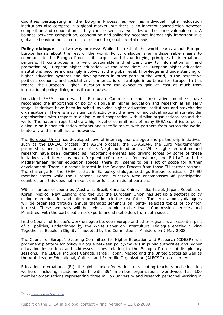Countries participating in the Bologna Process, as well as individual higher education institutions also compete in a global market, but there is no inherent contradiction between competition and cooperation – they can be seen as two sides of the same valuable coin. A balance between competition, cooperation and solidarity becomes increasingly important in a globalised environment in order to respond to global societal needs.

**Policy dialogue** is a two-way process: While the rest of the world learns about Europe, Europe learns about the rest of the world. Policy dialogue is an indispensable means to communicate the Bologna Process, its *acquis*, and its underlying principles to international partners. It contributes in a very sustainable and efficient way to information on, and promotion of, European higher education. At the same time, as European higher education institutions become increasingly involved at the global level, knowledge and understanding of higher education systems and developments in other parts of the world, in the respective political, economic and societal environments, is of strategic importance for Europe. In this regard, the European Higher Education Area can expect to gain at least as much from international policy dialogue as it contributes.

Individual EHEA countries, the European Commission and consultative members have recognised the importance of policy dialogue in higher education and research at an early stage. Initiatives have been launched involving higher education institutions and stakeholder organisations. There is also significant activity at the level of individual national stakeholder organisations with respect to dialogue and cooperation with similar organisations around the world. The national reports show a high level of commitment of many EHEA countries to policy dialogue on higher education reforms and specific topics with partners from across the world, bilaterally and in multilateral networks.

The European Union has developed several inter-regional dialogue and partnership initiatives, such as the EU-LAC process, the ASEM process, the EU-ASEAN, the Euro Mediterranean partnership, and in the context of its Neighbourhood policy. While higher education and research have been identified as important elements and driving forces by some of these initiatives and there has been frequent reference to, for instance, the EU-LAC and the Mediterranean higher education spaces, there still seems to be a lot of scope for further development. There is a strong interest in the Bologna Process from those EU partner regions. The challenge for the EHEA is that in EU policy dialogue settings Europe consists of 27 EU member states while the European Higher Education Area encompasses 46 participating countries and this does not make it easier for international partners.

With a number of countries (Australia, Brazil, Canada, China, India, Israel, Japan, Republic of Korea, Mexico, New Zealand and the US) the European Union has set up a sectoral policy dialogue on education and culture or will do so in the near future. The sectoral policy dialogues will be organised through annual thematic seminars on jointly selected topics of common interest. These seminars will be held at administrative level (Commission services and Ministries) with the participation of experts and stakeholders from both sides.

In the Council of Europe's work dialogue between Europe and other regions is an essential part of all policies, underpinned by the White Paper on Intercultural Dialogue entitled "Living Together as Equals in Dignity"<sup>13</sup> adopted by the Committee of Ministers on 7 May 2008.

The Council of Europe's Steering Committee for Higher Education and Research (CDESR) is a prominent platform for policy dialogue between policy-makers in public authorities and higher education institutions and addresses issues relating to the Bologna Process at its plenary sessions. The CDESR includes Canada, Israel, Japan, Mexico and the United States as well as the Arab League Educational, Cultural and Scientific Organization (ALECSO) as observers.

Education International (EI), the global union federation representing teachers and education workers, including academic staff, with 394 member organisations worldwide, has 100 member organisations representing three million university and research personnel working in

<sup>13</sup> See www.coe.int/dialogue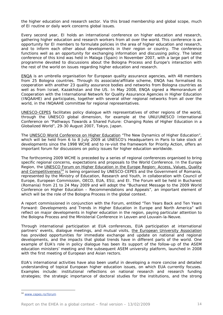the higher education and research sector. Via this broad membership and global scope, much of EI routine or daily work concerns global issues.

Every second year, EI holds an international conference on higher education and research, gathering higher education and research workers from all over the world. This conference is an opportunity for EI members to formulate policies in the area of higher education and research, and to inform each other about developments in their region or country. The conference functions well as an opportunity for exchanging information and discussing policy. The latest conference of this kind was held in Malaga (Spain) in November 2007, with a large part of the programme devoted to discussions about the Bologna Process and Europe's interaction with the rest of the world on issues regarding higher education and research.

ENQA is an umbrella organisation for European quality assurance agencies, with 48 members from 25 Bologna countries. Through its associate/affiliate scheme, ENQA has formalised its cooperation with another 23 quality assurance bodies and networks from Bologna countries as well as from Israel, Kazakhstan and the US. In May 2008, ENQA signed a Memorandum of Cooperation with the International Network for Quality Assurance Agencies in Higher Education (INQAAHE) and participates, together with several other regional networks from all over the world, in the INQAAHE committee for regional representatives.

UNESCO-CEPES facilitates policy dialogue with representatives of other regions of the world, through the UNESCO global dimension, for example at the UNU/UNESCO International Conference on "Pathways Towards a Shared Future: Changing Roles of Higher Education in a Globalized World", 29-30 August 2007, Tokyo, Japan.

The *UNESCO World Conference on Higher Education "The New Dynamics of Higher Education"*, which will be held from 6 to 8 July 2009 at UNESCO's Headquarters in Paris to take stock of developments since the 1998 WCHE and to re-visit the framework for Priority Action, offers an important forum for discussions on policy issues for higher education worldwide.

The forthcoming 2009 WCHE is preceded by a series of regional conferences organised to bring specific regional concerns, expectations and proposals to the World Conference. In the Europe Region, the UNESCO Forum on Higher Education in the Europe Region: *Access, Values, Quality* and Competitiveness<sup>14</sup> is being organised by UNESCO-CEPES and the Government of Romania, represented by the Ministry of Education, Research and Youth, in collaboration with Council of Europe, European Commission, OECD, EUA, ESU, and EI. The Forum will be held in Bucharest (Romania) from 21 to 24 May 2009 and will adopt the "Bucharest Message to the 2009 World Conference on Higher Education – Recommendations and Appeals"*,* an important element of which will be the role of the Bologna Process in the global context.

A report commissioned in conjunction with the Forum, entitled "Ten Years Back and Ten Years Forward: Developments and Trends in Higher Education in Europe and North America" will reflect on major developments in higher education in the region, paying particular attention to the Bologna Process and the Ministerial Conference in Leuven and Louvain-la-Neuve.

Through international participation at EUA conferences, EUA participation at international partners' events, dialogue meetings, and mutual visits, the European University Association has provided opportunities for immediate exchange and update on national and regional developments, and the impacts that global trends have in different parts of the world. One example of EUA's role in policy dialogue has been its support of the follow-up of the ASEM education ministers' meeting and the subsequent ASEM university platform, launched in 2008 with the first meeting of European and Asian rectors.

EUA's international activities have also been useful in developing a more concise and detailed understanding of topical European higher education issues, on which EUA currently focuses. Examples include: institutional reflections on national research and research funding strategies; the strategic importance of doctoral studies for the institutions, and the strong

<sup>14</sup> www.cepes.ro/forum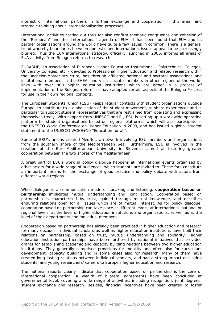interest of international partners in further exchange and cooperation in this area; and strategic thinking about internationalisation processes.

International activities carried out thus far also confirm thematic congruence and cohesion of the "European" and the "International" agenda of EUA. It has been found that EUA and its partner organisations around the world have quite a few issues in common. There is a general trend whereby boundaries between domestic and international issues appear to be increasingly blurred. Thus the EUA international strategy, officially launched in 2006, informs all areas of EUA activity, from Bologna reforms to research.

EURASHE, an association of European Higher Education Institutions – Polytechnics, Colleges, University Colleges, etc. - devoted to Professional Higher Education and related research within the Bachelor-Master structure, has through affiliated national and sectoral associations and institutional members in the EHEA, and via associate members in other regions of the world, links with over 800 higher education institutions which are either in a process of implementation of the Bologna reform, or have adopted certain aspects of the Bologna Process for use in their own regional contexts.

The European Students' Union (ESU) keeps regular contacts with student organisations outside Europe, to contribute to a globalisation of the student movement, to share experiences and in particular to support student representatives that are restrained from operating and expressing themselves freely. With support from UNESCO and EI, ESU is setting up a worldwide operating platform for student organisations based on regional platforms, which will also participate in the UNESCO World Conference on Higher Education in 2009, and has issued a global student statement to the UNESCO WCHE+10 "Education for all".

Some of ESU's unions created MedNet, a network involving ESU members and organisations from the southern shore of the Mediterranean Sea. Furthermore, ESU is involved in the creation of the Euro-Mediterranean University in Slovenia, aimed at fostering greater cooperation between the two shores of the Mediterranean.

A great part of ESU's work in policy dialogue happens at international events organised by other actors for a wide range of audiences, which students are invited to. These fora constitute an important means for the exchange of good practice and policy debate with actors from different world regions.

While dialogue is a communication mode of speaking and listening, **cooperation based on partnership** implicates mutual understanding and joint action. Cooperation based on partnership is characterised by trust, gained through mutual knowledge, and describes enduring relations open for all issues which are of mutual interest. As for policy dialogue, cooperation based on partnership can take place at different levels, at international, national or regional levels, at the level of higher education institutions and organisations, as well as at the level of their departments and individual members.

Cooperation based on partnership has already been practiced in higher education and research for many decades. Individual scholars as well as higher education institutions have built their relations on partnership, based on trust, mutual understanding and solidarity. Higher education institution partnerships have been furthered by national initiatives that provided grants for establishing academic and capacity building relations between two higher education institutions. They generally comprised provisions for mobility and often also for curriculum development, capacity building and in some cases also for research. Many of them have created long-lasting relations between individual scholars, and had a strong impact on linking students' and young researchers' careers to Europe's higher education and research.

The national reports clearly indicate that cooperation based on partnership is the core of international cooperation. A wealth of bilateral agreements have been concluded at governmental level, covering a wide range of activities, including recognition, joint degrees, student exchange and research. Besides, financial incentives have been created to foster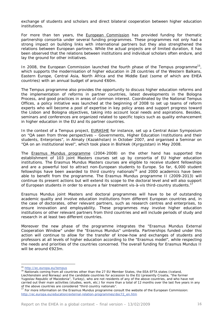exchange of students and scholars and direct bilateral cooperation between higher education institutions.

For more than ten years, the **European Commission** has provided funding for thematic partnership consortia under several funding programmes. These programmes not only had a strong impact on building links with international partners but they also strengthened the relations between European partners. While the actual projects are of limited duration, it has been observed that the relations between institutions and individual scholars often endure, and lay the ground for other initiatives.

In 2008, the European Commission launched the fourth phase of the Tempus programme<sup>15</sup>, which supports the modernisation of higher education in 28 countries of the Western Balkans, Eastern Europe, Central Asia, North Africa and the Middle East (some of which are EHEA countries) with an annual budget of around €60m.

The Tempus programme also provides the opportunity to discuss higher education reforms and the implementation of reforms in partner countries, latest developments in the Bologna Process, and good practices in areas of common interest. Coordinated by the National Tempus Offices, a policy initiative was launched at the beginning of 2008 to set up teams of reform experts who will become a pool of expertise in key policy areas and support progress toward the Lisbon and Bologna objectives, taking into account local needs and aspirations. Besides, seminars and conferences are organized related to specific topics such as quality enhancement in higher education in the EU and its partner countries.

In the context of a Tempus project, EURASHE for instance, set up a Central Asian Symposium on "QA seen from three perspectives – Governments, Higher Education Institutions and their students, Enterprises", in Almaty (Kazakhstan) in October 2007, and organised a Seminar on "QA on an institutional level", which took place in Bishkek (Kyrgyzstan) in May 2008.

The Erasmus Mundus programme (2004-2008) on the other hand has supported the establishment of 103 joint Masters courses set up by consortia of EU higher education institutions. The Erasmus Mundus Masters courses are eligible to receive student fellowships and are a powerful tool to attract non-European students to Europe. So far, 6,000 student fellowships have been awarded to third country nationals<sup>16</sup> and 2000 academics have been able to benefit from the programme. The Erasmus Mundus programme II (2009-2013) will continue its present actions but will extend its scope to the doctoral level and will also support of European students in order to ensure a fair treatment vis-à-vis third-country students.<sup>1</sup>

Erasmus Mundus joint Masters and doctoral programmes will have to be of outstanding academic quality and involve education institutions from different European countries and, in the case of doctorates, other relevant partners, such as research centres and enterprises, to ensure innovation and employability. These programmes may involve higher education institutions or other relevant partners from third countries and will include periods of study and research in at least two different countries.

Moreover the new phase of the programme integrates the "Erasmus Mundus External Cooperation Window" under the "Erasmus Mundus" umbrella. Partnerships funded under this action will continue to allow for the transfer of know-how and exchanges of students and professors at all levels of higher education according to the "Erasmus model", while respecting the needs and priorities of the countries concerned. The overall funding for Erasmus Mundus II will be around €923m.

 $\overline{a}$ 

<sup>16</sup> Nationals coming from all countries other than the 27 EU Member States, the EEA-EFTA states (Iceland, Liechtenstein and Norway) and the candidate countries for accession to the EU (presently Croatia, "the former Yugoslav Republic of Macedonia", Turkey), who are not residents of any of the above countries, and who have not carried out their main activities (studies, work, etc.) for more than a total of 12 months over the last five years in any of the above countries are considered "third country nationals".

<sup>15</sup> http://ec.europa.eu/tempus

<sup>&</sup>lt;sup>17</sup> For more information on the Erasmus Mundus programme consult the website of the European Commission: http://ec.europa.eu/education/external-relation-programmes/doc72\_en.htm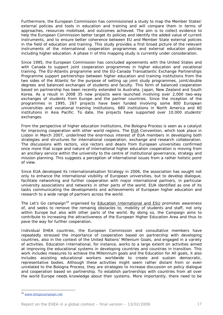Furthermore, the European Commission has commissioned a study to map the Member States' external policies and tools in education and training and will compare them in terms of approaches, resources mobilised, and outcomes achieved. The aim is to collect evidence to help the European Commission better target its policies and identify the added value of current instruments, and to ensure better coherence between EU and Member State external policies in the field of education and training. This study provides a first broad picture of the relevant instruments of the international cooperation programmes and external education policies including higher education. A phase II of this mapping study is currently under consideration.

Since 1995, the European Commission has concluded agreements with the United States and with Canada to support joint cooperation programmes in higher education and vocational training. The EU-Atlantis programme and the EU-Canada Transatlantic Exchange Partnerships Programme support partnerships between higher education and training institutions from the two sides of the Atlantic for the purpose of setting up joint study programmes, joint/double degrees and balanced exchanges of students and faculty. This form of balanced cooperation based on partnership has been recently extended to Australia, Japan, New Zealand and South Korea. As a result in 2008 35 new projects were launched involving over 2,000 two-way exchanges of students from Europe and the partner countries. Since the inception of the programmes in 1995, 267 projects have been funded involving some 800 European universities and vocational training institutions, 680 institutions in North America and 60 institutions in Asia Pacific. To date, the projects have supported over 10.000 students' exchanges.

From the perspective of higher education institutions, the Bologna Process is seen as a catalyst for improving cooperation with other world regions. The EUA Convention, which took place in Lisbon in March 2007, underlined the enormous interest of EUA members in developing both strategies and structures for international cooperation, exchange and research collaboration. The discussions with rectors, vice rectors and deans from European universities confirmed once more that scope and nature of international higher education cooperation is moving from an ancillary service within the university to the centre of institutional governance, strategy and mission planning. This suggests a perception of international issues from a rather holistic point of view.

Since EUA developed its Internationalisation Strategy in 2006, the association has sought not only to enhance the international visibility of European universities, but to develop dialogue, facilitate networking and further cooperation with major international partners, in particular university associations and networks in other parts of the world. EUA identified as one of its tasks communicating the developments and achievements of European higher education and research to a wide range of partners across the world.

The Let's Go campaign<sup>18</sup> organised by Education International and ESU promotes awareness of, and seeks to remove the remainig obstacles to, mobility of students and staff, not only within Europe but also with other parts of the world. By doing so, the Campaign aims to contribute to increasing the attractiveness of the European Higher Education Area and thus to pave the way for further cooperation.

Individual EHEA countries, the European Commission and consultative members have repeatedly stressed the importance of cooperation based on partnership with developing countries, also in the context of the United Nations' Millenium Goals, and engaged in a variety of activities. Education International, for instance, works to a large extent on activities aimed at improving the educational systems in developing countries and countries in transition. This work includes measures to achieve the Millennium goals and the Education for All goals, it also includes assisting educational workers worldwide to create and sustain democratic, representative bodies. Although these activities might seem rather distant from or even unrelated to the Bologna Process, they are strategies to increase discussion on policy dialogue and cooperation based on partnership. To establish partnerships with countries from all over the world Europe needs knowledge about their systems. More importantly, there need to be

<sup>18</sup> www.letsgocampaign.net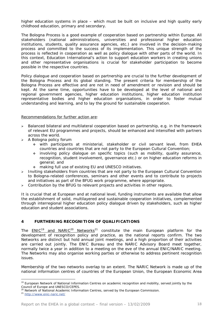higher education systems in place – which must be built on inclusive and high quality early childhood education, primary and secondary.

The Bologna Process is a good example of cooperation based on partnership within Europe. All stakeholders (national administrations, universities and professional higher education institutions, students, quality assurance agencies, etc.) are involved in the decision-making process and committed to the success of its implementation. This unique strength of the process is reflected in cooperation as well as policy dialogue with other parts of the world. In this context, Education International's action to support education workers in creating unions and other representative organisations is crucial for stakeholder participation to become possible in the respective countries.

Policy dialogue and cooperation based on partnership are crucial to the further development of the Bologna Process and its global standing. The present criteria for membership of the Bologna Process are effective and are not in need of amendment or revision and should be kept. At the same time, opportunities have to be developed at the level of national and regional government agencies, higher education institutions, higher education institution representative bodies and higher education organisations, in order to foster mutual understanding and learning, and to lay the ground for sustainable cooperation.

#### Recommendations for further action are:

- ¾ Balanced bilateral and multilateral cooperation based on partnership, e.g. in the framework of relevant EU programmes and projects, should be enhanced and intensified with partners across the world.
- ¾ A *Bologna policy forum*
	- with participants at ministerial, stakeholder or civil servant level, from EHEA countries and countries that are not party to the European Cultural Convention;
	- involving *policy dialogue on specific topics* (such as mobility, quality assurance, recognition, student involvement, governance etc.) or on higher education reforms in general; and
	- making full use of existing EU and UNESCO initiatives.
- ¾ Inviting stakeholders from countries that are not party to the European Cultural Convention to Bologna-related conferences, seminars and other events and to contribute to projects and initiatives as part of the BFUG work programme, where appropriate.
- $\triangleright$  Contribution by the BFUG to relevant projects and activities in other regions.

It is crucial that at European and at national level, funding instruments are available that allow the establishment of solid, multilayered and sustainable cooperation initiatives, complemented through interregional higher education policy dialogue driven by stakeholders, such as higher education and student associations.

# **4 FURTHERING RECOGNITION OF QUALIFICATIONS**

The  $EMIC^{19}$  and NARIC<sup>20</sup> Networks<sup>21</sup> constitute the main European platform for the development of recognition policy and practice, as the national reports confirm. The two Networks are distinct but hold annual joint meetings, and a high proportion of their activities are carried out jointly. The ENIC Bureau and the NARIC Advisory Board meet together, normally twice a year in addition to a meeting on the eve of the annual ENIC/NARIC meeting. The Networks may also organise working parties or otherwise to address pertinent recognition issues.

Membership of the two networks overlap to an extent. The NARIC Network is made up of the national information centres of countries of the European Union, the European Economic Area

<sup>&</sup>lt;sup>19</sup> European Network of National Information Centres on academic recognition and mobility, served jointly by the Council of Europe and UNESCO/CEPES.

<sup>&</sup>lt;sup>20</sup> Network of National Academic Information Centres, served by the European Commission.<br><sup>21</sup> http://www.enic-naric.net/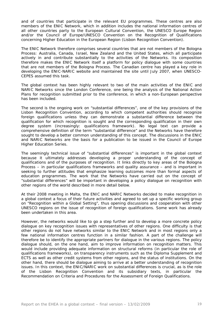and of countries that participate in the relevant EU programmes. These centres are also members of the ENIC Network, which in addition includes the national information centres of all other countries party to the European Cultural Convention, the UNESCO Europe Region and/or the Council of Europe/UNESCO Convention on the Recognition of Qualifications concerning Higher Education in the European Region (Lisbon Recognition Convention).

The ENIC Network therefore comprises several countries that are not members of the Bologna Process: Australia, Canada, Israel, New Zealand and the United States, which all participate actively in and contribute substantially to the activities of the Networks. Its composition therefore makes the ENIC Network itself a platform for policy dialogue with some countries that are not members of the Bologna Process. The Canadian centre has played a key role in developing the ENIC-NARIC website and maintained the site until July 2007, when UNESCO-CEPES assumed this task.

The global context has been highly relevant to two of the main activities of the ENIC and NARIC Networks since the London Conference, one being the analysis of the National Action Plans for recognition submitted prior to the conference, in which a non-European perspective has been included.

The second is the ongoing work on "substantial differences", one of the key provisions of the Lisbon Recognition Convention, according to which competent authorities should recognize foreign qualifications unless they can demonstrate a substantial difference between the qualification for which recognition is sought and the corresponding qualification in their own degree system (increasingly: qualifications framework). No legal text can provide a comprehensive definition of the term "substantial difference" and the Networks have therefore sought to develop a better common understanding of this concept. The discussions in the ENIC and NARIC Networks are the basis for a publication to be issued in the Council of Europe Higher Education Series.

The seemingly technical issue of "substantial differences" is important in the global context because it ultimately addresses developing a proper understanding of the concept of qualifications and of the purposes of recognition. It links directly to key areas of the Bologna Process – in particular qualifications frameworks and quality assurance – and is important in seeking to further attitudes that emphasize learning outcomes more than formal aspects of education programmes. The work that the Networks have carried out on the concept of "substantial differences" will be important in developing a policy dialogue on recognition with other regions of the world described in more detail below.

At their 2008 meeting in Malta, the ENIC and NARIC Networks decided to make recognition in a global context a focus of their future activities and agreed to set up a specific working group on "Recognition within a Global Setting", thus opening discussions and cooperation with other UNESCO regions on the issue of recognition of foreign qualifications. Some work has already been undertaken in this area.

However, the networks would like to go a step further and to develop a more concrete policy dialogue on key recognition issues with representatives of other regions. One difficulty is that other regions do not have networks similar to the ENIC Network and in most regions only a few national information centres function in a similar fashion. A part of the challenge will therefore be to identify the appropriate partners for dialogue in the various regions. The policy dialogue should, on the one hand, aim to improve information on recognition matters. This would include providing adequate information on structural reforms (in particular the role of qualifications frameworks), on transparency instruments such as the Diploma Supplement and ECTS as well as other credit systems from other regions, and the status of institutions. On the other hand, there should be dialogue aiming to arrive at a better understanding of recognition issues. In this context, the ENIC/NARIC work on substantial differences is crucial, as is the role of the Lisbon Recognition Convention and its subsidiary texts, in particular the Recommendation on Criteria and Procedures for the Assessment of Foreign Qualifications.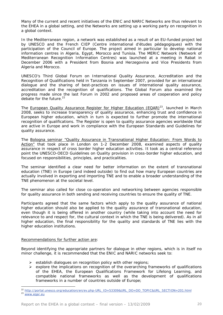Many of the current and recent initiatives of the ENIC and NARIC Networks are thus relevant to the EHEA in a global setting, and the Networks are setting up a working party on recognition in a global context.

In the Mediterranean region, a network was established as a result of an EU-funded project led by UNESCO and the French CIEP (Centre international d'études pédagogiques) with the participation of the Council of Europe. The project aimed in particular to develop national information centres in Algeria, Egypt, Morocco and Tunisia. The MERIC Network (Network of Mediterranean Recognition Information Centres) was launched at a meeting in Rabat in December 2006 with a President from Bosnia and Herzegovina and Vice Presidents from Algeria and Morocco.

UNESCO's Third Global Forum on International Quality Assurance, Accreditation and the Recognition of Qualifications held in Tanzania in September 2007, provided for an international dialogue and the sharing of best-practices on issues of international quality assurance, accreditation and the recognition of qualifications. The Global Forum also examined the progress made since the last Forum in 2002 and proposed areas of cooperation and policy debate for the future.<sup>22</sup>

The European Quality Assurance Register for Higher Education (EQAR)<sup>23</sup>, launched in March 2008, seeks to increase transparency of quality assurance, enhancing trust and confidence in European higher education, which in turn is expected to further promote the international recognition of qualifications. The Register is open to quality assurance agencies worldwide that are active in Europe and work in compliance with the European Standards and Guidelines for quality assurance.

The Bologna seminar "Quality Assurance in Transnational Higher Education: From Words to Action" that took place in London on 1-2 December 2008, examined aspects of quality assurance in respect of cross border higher education activities. It took as a central reference point the UNESCO-OECD Guidelines on Quality provision in cross-border higher education, and focused on responsibilities, principles, and practicalities.

The seminar identified a clear need for better information on the extent of transnational education (TNE) in Europe (and indeed outside) to find out how many European countries are actually involved in exporting and importing TNE and to enable a broader understanding of the TNE phenomenon at the societal level.

The seminar also called for close co-operation and networking between agencies responsible for quality assurance in both sending and receiving countries to ensure the quality of TNE.

Participants agreed that the same factors which apply to the quality assurance of national higher education should also be applied to the quality assurance of transnational education, even though it is being offered in another country (while taking into account the need for relevance to and respect for, the cultural context in which the TNE is being delivered). As in all higher education, the final responsibility for the quality and standards of TNE lies with the higher education institutions.

#### Recommendations for further action are:

Beyond identifying the appropriate partners for dialogue in other regions, which is in itself no minor challenge, it is recommended that the ENIC and NARIC networks seek to:

- $\triangleright$  establish dialogues on recognition policy with other regions;
- $\triangleright$  explore the implications on recognition of the overarching frameworks of qualifications of the EHEA, the European Qualifications Framework for Lifelong Learning, and compatible national frameworks as well as the development of qualifications frameworks in a number of countries outside of Europe;

 $\overline{a}$ <sup>22</sup> http://portal.unesco.org/education/en/ev.php-URL\_ID=53309&URL\_DO=DO\_TOPIC&URL\_SECTION=201.html<br><sup>23</sup> www.eqar.eu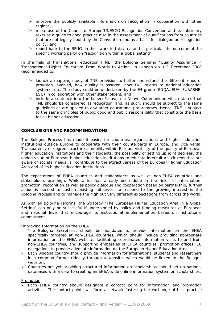- $\triangleright$  improve the publicly available information on recognition in cooperation with other regions;
- ¾ make use of the Council of Europe/UNESCO Recognition Convention and its subsidiary texts as a guide to good practice also in the assessment of qualifications from countries that are not legally bound by the Convention and as a basis for dialogue on recognition policy; and
- $\triangleright$  report back to the BFUG on their work in this area and in particular the outcome of the specific working party on "recognition within a global setting".

In the field of transnational education (TNE) the Bologna Seminar "Quality Assurance in Transnational Higher Education: From Words to Action" in London on 1-2 December 2008 recommended to:

- $\triangleright$  launch a mapping study of TNE provision to better understand the different kinds of provision involved, how quality is assured, how TNE relates to national education systems, etc. The study could be undertaken by the E4 group (ENQA, EUA, EURASHE, ESU) in collaboration with other stakeholders; and
- ¾ include a sentence into the Leuven/Louvain-la-Neuve Communiqué which states that TNE should be considered as 'education' and, as such, should be subject to the same guidelines as are applied to any other educational programmes. Hence, TNE is subject to the same principles of public good and public responsibility that constitute the basis for all higher education.

#### **CONCLUSIONS AND RECOMMENDATIONS**

The Bologna Process has made it easier for countries, organisations and higher education institutions outside Europe to cooperate with their counterparts in Europe, and vice versa. Transparency of degree structures, mobility within Europe, visibility of the quality of European higher education institutions and their students, the possibility of setting up joint degrees, the added value of European higher education institutions to educate intercultural citizens that are aware of societal needs, all contribute to the attractiveness of the European Higher Education Area and of its higher education institutions.

The expectations of EHEA countries and stakeholders as well as non-EHEA countries and stakeholders are high. While a lot has already been done in the fields of information, promotion, recognition as well as policy dialogue and cooperation based on partnership, further action is needed to sustain existing initiatives, to respond to the growing interest in the Bologna Process and to manage the high but very different expectations from across the world.

As with all Bologna reforms, the Strategy "The European Higher Education Area in a Global Setting" can only be successful if underpinned by policy and funding measures at European and national level that encourage its institutional implementation based on institutional commitment.

Improving Information on the EHEA

- The Bologna Secretariat should be mandated to provide information on the EHEA specifically targeted at non-EHEA countries, which should include providing appropriate information on the EHEA website, facilitating coordinated information visits to and from non-EHEA countries, and supporting embassies of EHEA countries, promotion offices, EU delegations to provide adequate information on the European Higher Education Area.
- ¾ Each Bologna country should provide information for international students and researchers in a common format (ideally through a website, which would be linked to the Bologna website).
- ¾ Countries not yet providing structured information on scholarships should set up national databases with a view to creating an EHEA-wide online information system on scholarships.

#### Promotion

 $\ge$  Each EHEA country should designate a contact point for information and promotion activities. The contact points will form a network fostering the exchange of best practice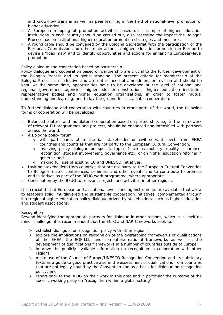and know-how transfer as well as peer learning in the field of national-level promotion of higher education.

- $\geq$  A European mapping of promotion activities based on a sample of higher education institutions in each country should be carried out, also assessing the impact the Bologna Process has on institutional higher education promotion strategies and measures.
- $\triangleright$  A round table should be convened by the Bologna Secretariat with the participation of the European Commission and other main actors in higher education promotion in Europe to devise a "road map" and to identify opportunities and actions for enhancing European-level promotion.

#### Policy dialogue and cooperation based on partnership

Policy dialogue and cooperation based on partnership are crucial to the further development of the Bologna Process and its global standing. The present criteria for membership of the Bologna Process are effective and are not in need of amendment or revision and should be kept. At the same time, opportunities have to be developed at the level of national and regional government agencies, higher education institutions, higher education institution representative bodies and higher education organisations, in order to foster mutual understanding and learning, and to lay the ground for sustainable cooperation.

To further dialogue and cooperation with countries in other parts of the world, the following forms of cooperation will be developed:

- $\geq$  Balanced bilateral and multilateral cooperation based on partnership, e.g. in the framework of relevant EU programmes and projects, should be enhanced and intensified with partners across the world.
- ¾ A *Bologna policy forum*
	- with participants at ministerial, stakeholder or civil servant level, from EHEA countries and countries that are not party to the European Cultural Convention;
	- involving *policy dialogue on specific topics* (such as mobility, quality assurance, recognition, student involvement, governance etc.) or on higher education reforms in general; and
	- \* making full use of existing EU and UNESCO initiatives.
- ¾ Inviting stakeholders from countries that are not party to the European Cultural Convention to Bologna-related conferences, seminars and other events and to contribute to projects and initiatives as part of the BFUG work programme, where appropriate.
- ¾ Contribution by the BFUG to relevant projects and activities in other regions.

It is crucial that at European and at national level, funding instruments are available that allow to establish solid, multilayered and sustainable cooperation initiatives, complemented through interregional higher education policy dialogue driven by stakeholders, such as higher education and student associations.

#### **Recognition**

Beyond identifying the appropriate partners for dialogue in other regions, which is in itself no minor challenge, it is recommended that the ENIC and NARIC networks seek to:

- $\triangleright$  establish dialogues on recognition policy with other regions;
- $\triangleright$  explore the implications on recognition of the overarching frameworks of qualifications of the EHEA, the EQF-LLL, and compatible national frameworks as well as the development of qualifications frameworks in a number of countries outside of Europe;
- $\triangleright$  improve the publicly available information on recognition in cooperation with other regions;
- ¾ make use of the Council of Europe/UNESCO Recognition Convention and its subsidiary texts as a guide to good practice also in the assessment of qualifications from countries that are not legally bound by the Convention and as a basis for dialogue on recognition policy; and
- $\triangleright$  report back to the BFUG on their work in this area and in particular the outcome of the specific working party on "recognition within a global setting".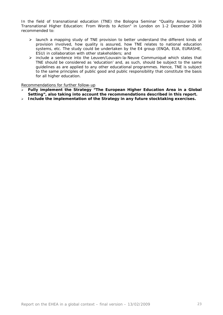In the field of transnational education (TNE) the Bologna Seminar "Quality Assurance in Transnational Higher Education: From Words to Action" in London on 1-2 December 2008 recommended to:

- $\ge$  launch a mapping study of TNE provision to better understand the different kinds of provision involved, how quality is assured, how TNE relates to national education systems, etc. The study could be undertaken by the E4 group (ENQA, EUA, EURASHE, ESU) in collaboration with other stakeholders; and
- ¾ include a sentence into the Leuven/Louvain-la-Neuve Communiqué which states that TNE should be considered as 'education' and, as such, should be subject to the same guidelines as are applied to any other educational programmes. Hence, TNE is subject to the same principles of public good and public responsibility that constitute the basis for all higher education.

Recommendations for further follow-up

- ¾ **Fully implement the Strategy "The European Higher Education Area in a Global Setting", also taking into account the recommendations described in this report.**
- ¾ **Include the implementation of the Strategy in any future stocktaking exercises.**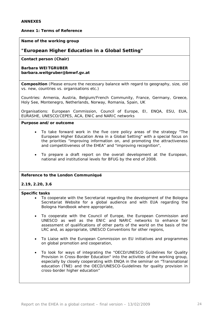# **Annex 1: Terms of Reference**

#### **Name of the working group**

# **"European Higher Education in a Global Setting"**

**Contact person (Chair)** 

**Barbara WEITGRUBER barbara.weitgruber@bmwf.gv.at** 

**Composition** (Please ensure the necessary balance with regard to geography, size, old vs. new, countries vs. organisations etc.)

Countries: Armenia, Austria, Belgium/French Community, France, Germany, Greece, Holy See, Montenegro, Netherlands, Norway, Romania, Spain, UK

Organisations: European Commission, Council of Europe, EI, ENQA, ESU, EUA, EURASHE, UNESCO/CEPES, ACA, ENIC and NARIC networks

#### **Purpose and/or outcome**

- To take forward work in the five core policy areas of the strategy "The European Higher Education Area in a Global Setting" with a special focus on the priorities "improving information on, and promoting the attractiveness and competitiveness of the EHEA" and "improving recognition",
- To prepare a draft report on the overall development at the European, national and institutional levels for BFUG by the end of 2008.

#### **Reference to the London Communiqué**

#### **2.19, 2.20, 3.6**

#### **Specific tasks**

- To cooperate with the Secretariat regarding the development of the Bologna Secretariat Website for a global audience and with EUA regarding the Bologna Handbook where appropriate,
- To cooperate with the Council of Europe, the European Commission and UNESCO as well as the ENIC and NARIC networks to enhance fair assessment of qualifications of other parts of the world on the basis of the LRC and, as appropriate, UNESCO Conventions for other regions,
- To Liaise with the European Commission on EU initiatives and programmes on global promotion and cooperation,
- To look for ways of integrating the "OECD/UNESCO Guidelines for Quality Provision in Cross-Border Education" into the activities of the working group, especially by closely cooperating with ENQA in the seminar on "Transnational education (TNE) and the OECD/UNESCO-Guidelines for quality provision in cross-border higher education"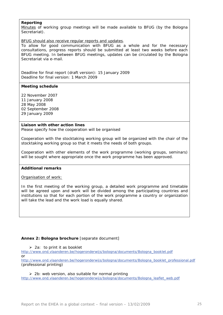#### **Reporting**

Minutes of working group meetings will be made available to BFUG (by the Bologna Secretariat).

BFUG should also receive regular reports and updates.

To allow for good communication with BFUG as a whole and for the necessary consultations, progress reports should be submitted at least two weeks before each BFUG meeting. In between BFUG meetings, updates can be circulated by the Bologna Secretariat via e-mail.

Deadline for final report (draft version): 15 January 2009 Deadline for final version: 1 March 2009

#### **Meeting schedule**

22 November 2007 11 January 2008 28 May 2008 02 September 2008 29 January 2009

#### **Liaison with other action lines**

Please specify how the cooperation will be organised

Cooperation with the stocktaking working group will be organized with the chair of the stocktaking working group so that it meets the needs of both groups.

Cooperation with other elements of the work programme (working groups, seminars) will be sought where appropriate once the work programme has been approved.

#### **Additional remarks**

Organisation of work:

In the first meeting of the working group, a detailed work programme and timetable will be agreed upon and work will be divided among the participating countries and institutions so that for each portion of the work programme a country or organization will take the lead and the work load is equally shared.

#### **Annex 2: Bologna brochure** [separate document]

 $\geq 2a$ : to print it as booklet

http://www.ond.vlaanderen.be/hogeronderwijs/bologna/documents/Bologna\_booklet.pdf or

http://www.ond.vlaanderen.be/hogeronderwijs/bologna/documents/Bologna\_booklet\_professional.pdf (professional printing)

 $\geq 2$ b: web version, also suitable for normal printing http://www.ond.vlaanderen.be/hogeronderwijs/bologna/documents/Bologna\_leaflet\_web.pdf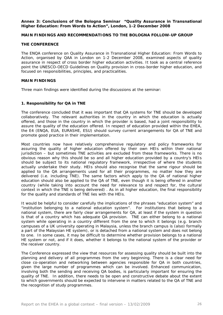#### **Annex 3: Conclusions of the Bologna Seminar "Quality Assurance in Transnational Higher Education: From Words to Action", London, 1-2 December 2008**

# **MAIN FINDINGS AND RECOMMENDATIONS TO THE BOLOGNA FOLLOW-UP GROUP**

#### **THE CONFERENCE**

The ENQA conference on Quality Assurance in Transnational Higher Education: From Words to Action, organised by QAA in London on 1-2 December 2008, examined aspects of quality assurance in respect of cross border higher education activities. It took as a central reference point the UNESCO-OECD Guidelines on Quality provision in cross-border higher education, and focused on responsibilities, principles, and practicalities.

#### **MAIN FINDINGS**

Three main findings were identified during the discussions at the seminar:

#### **1. Responsibility for QA in TNE**

The conference concluded that it was important that QA systems for TNE should be developed collaboratively. The relevant authorities in the country in which the education is actually offered, and those in the country in which the provider is based, had a joint responsibility to assure the quality of the education offered. In respect of education provided within the EHEA, the E4 (ENQA, EUA, EURASHE, ESU) should survey current arrangements for QA of TNE and promote good practice in their implementation.

Most countries now have relatively comprehensive regulatory and policy frameworks for assuring the quality of higher education offered by their own HEIs within their national jurisdiction – but sometimes TNE activities are excluded from these frameworks. There is no obvious reason why this should be so and all higher education provided by a country's HEIs should be subject to its national regulatory framework, irrespective of where the students actually undertake their study. HEIs should also recognise that the same rigour should be applied to the QA arrangements used for all their programmes, no matter how they are delivered (i.e. including TNE). The same factors which apply to the QA of national higher education should also be applied to the QA of TNE, even though it is being offered in another country (while taking into account the need for relevance to and respect for, the cultural context in which the TNE is being delivered) . As in all higher education, the final responsibility for the quality and standards of TNE lies with the HEIs.

It would be helpful to consider carefully the implications of the phrases "education system" and "institution belonging to a national education system". For institutions that belong to a national system, there are fairly clear arrangements for QA, at least if the system in question is that of a country which has adequate QA provision. TNE can either belong to a national system while operating in a country different from the one to which it belongs (e.g. branch campuses of a UK university operating in Malaysia, unless the branch campus is (also) formally a part of the Malaysian HE system), or is detached from a national system and does not belong to one. In some cases, it may be difficult to determine whether provision belongs to a national HE system or not, and if it does, whether it belongs to the national system of the provider or the receiver country.

The Conference expressed the view that resources for assessing quality should be built into the planning and delivery of all programmes from the very beginning. There is a clear need for close co-operation and networking between agencies responsible for QA in both countries, given the large number of programmes which can be involved. Enhanced communication, involving both the sending and receiving QA bodies, is particularly important for ensuring the quality of TNE. In addition, there needs to be open and constructive debate about the extent to which governments should be expected to intervene in matters related to the QA of TNE and the recognition of study programmes.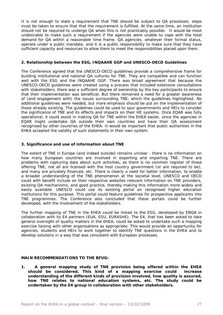It is not enough to state a requirement that TNE should be subject to QA processes; steps must be taken to ensure that that the requirement is fulfilled. At the same time, an institution should not be required to undergo QA when this is not practicably possible. It would be most undesirable to make such a requirement if the agencies were unable to cope with the total demand for QA within a reasonable time frame. QA agencies, whatever their formal status, operate under a public mandate, and it is a public responsibility to make sure that they have sufficient capacity and resources to allow them to meet the responsibilities placed upon them.

#### **2. Relationship between the ESG, INQAAHE GGP and UNESCO-OECD Guidelines**

The Conference agreed that the UNESCO-OECD guidelines provide a comprehensive frame for building institutional and national QA cultures for TNE. They are compatible and can function well with the ESG and the INQAAHE GGP. There was broad agreement that because the UNESCO-OECD guidelines were created using a process that included extensive consultations with stakeholders, there was a sufficient degree of ownership by the key participants to ensure that their implementation was beneficial. But there remained a need for a greater awareness of (and engagement with) the issues surrounding TNE, which the guidelines highlighted. No additional guidelines were needed, but more emphasis should be put on the implementation of those already existing. The guidelines could be used to spur governments and HEIs to consider the significance of TNE and its effects and impacts on their HE systems. Once EQAR was fully operational, it could assist in making QA for TNE within the EHEA easier, since the agencies in EQAR might undertake QA outside their own countries and have their QA assessment recognised by other countries of the EHEA. It would be important that public authorities in the EHEA accepted the validity of such statements in their own system.

#### **3. Significance and use of information about TNE**

The extent of TNE in Europe (and indeed outside) remains unclear - there is no information on how many European countries are involved in exporting and importing TNE. There are problems with capturing data about such activities, as there is no common register of those offering TNE, not all are licensed with the host country government (or are required to be), and many are privately financed, etc. There is clearly a need for better information, to enable a broader understanding of the TNE phenomenon at the societal level. UNESCO and OECD could with benefit include on their respective websites relevant information on TNE providers, existing QA mechanisms, and good practice, thereby making this information more widely and easily available. UNESCO could use its existing portal on recognised higher education institutions for this purpose. This portal could feature guidelines for prospective applicants into TNE programmes. The Conference also concluded that these portals could be further developed, with the involvement of the stakeholders.

The further mapping of TNE in the EHEA could be linked to the ESG, developed by ENQA in collaboration with its E4 partners (EUA, ESU, EURASHE). The E4, that has been asked to take general oversight of quality matters in the EHEA, could be asked to undertake such a mapping exercise liaising with other organisations as appropriate. This would provide an opportunity for agencies, students and HEIs to work together to identify TNE questions in the EHEA and to develop solutions in a way that was consistent with European processes.

#### **MAIN RECOMMENDATIONS TO THE BFUG:**

**1. A general mapping study of TNE provision being offered within the EHEA should be considered. This kind of a mapping exercise could increase understanding of the different kinds of provision involved, how quality is assured, how TNE relates to national education systems, etc. The study could be undertaken by the E4 group in collaboration with other stakeholders.**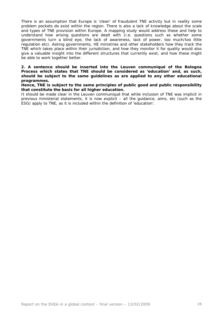There is an assumption that Europe is 'clean' of fraudulent TNE activity but in reality some problem pockets do exist within the region. There is also a lack of knowledge about the scale and types of TNE provision within Europe. A mapping study would address these and help to understand how arising questions are dealt with (i.e. questions such as whether some governments turn a blind eye, the lack of awareness, lack of power, too much/too little regulation etc). Asking governments, HE ministries and other stakeholders how they track the TNE which takes place within their jurisdiction, and how they monitor it for quality would also give a valuable insight into the different structures that currently exist, and how these might be able to work together better.

**2. A sentence should be inserted into the Leuven communiqué of the Bologna Process which states that TNE should be considered as 'education' and, as such, should be subject to the same guidelines as are applied to any other educational programmes.** 

**Hence, TNE is subject to the same principles of public good and public responsibility that constitute the basis for all higher education.** 

It should be made clear in the Leuven communiqué that while inclusion of TNE was implicit in previous ministerial statements, it is now explicit – all the guidance, aims, etc (such as the ESG) apply to TNE, as it is included within the definition of 'education'.